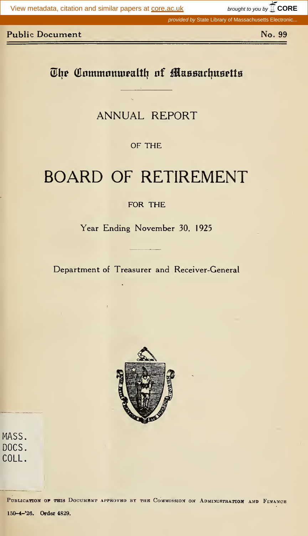brought to you by  $\widehat{\mathbb{I}}$  CORE

provided by State Library of Massachusetts Electronic.

#### **Public Document**

No. 99

# The Commonwealth of Massachusetts

## **ANNUAL REPORT**

OF THE

# **BOARD OF RETIREMENT**

FOR THE

Year Ending November 30, 1925

Department of Treasurer and Receiver-General



MASS. DOCS. COLL.

> PUBLICATION OF THIS DOCUMENT APPROVED BY THE COMMISSION ON ADMINISTRATION AND FINANCE 150-4-'26. Order 4829.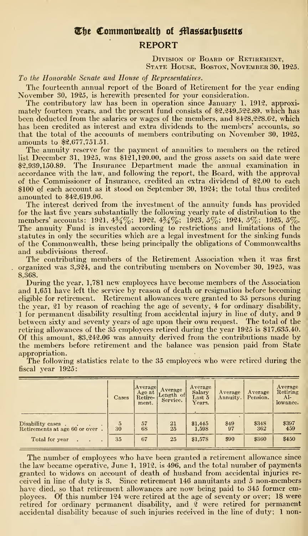## The Commonwealth of Massachusetts REPORT

DIVISION OF BOARD OF RETIREMENT. State House, Boston, November 30, 1925.

To the Honorable Senate and House of Representatives.

The fourteenth annual report of the Board of Retirement for the year ending November 30, 1925, is herewith presented for your consideration.

The contributory law has been in operation since January 1, 1912, approximately fourteen years, and the present fund consists of \$2,249,522.89, which has been deducted from the salaries or wages of the members, and \$428,228.62, which has been credited as interest and extra dividends to the members' accounts, so that the total of the accounts of members contributing on November 30, 1925. amounts to \$2,677,751.51.

The annuity reserve for the payment of annuities to members on the retired list December 31, 1925, was \$121,120.00, and the gross assets on said date were \$2,939,150.89. The Insurance Department made the annual examination in accordance with the law, and following the report, the Board, with the approval of the Commissioner of Insurance, credited an extra dividend of \$2.00 to each \$100 of each account as it stood on September 30, 1924; the total thus credited amounted to \$42,619.06.

The interest derived from the investment of the annuity funds has provided for the last five years substantially the following yearly rate of distribution to the members' accounts: 1921, 4 $\frac{3}{4}\%$ ; 1922, 4 $\frac{3}{4}\%$ ; 1923, 5%; 1924, 5%; 1925, 5%.<br>The annuity Fund is invested according to restrictions and limitations of the statutes in only the securities which are a legal investment for the sinking funds of the Commonwealth, these being principally the obligations of Commonwealths and subdivisions thereof.

The contributing members of the Retirement Association when it was first organized was 3,324, and the contributing members on November 30, 1925, was 8,368.

During the year, 1,781 new employees have become members of the Association and 1,651 have left the service by reason of death or resignation before becoming eligible for retirement. Retirement allowances were granted to 35 persons during the year, 21 by reason of reaching the age of seventy, 4 for ordinary disability, <sup>1</sup> for permanent disability resulting from accidental injury in line of duty, and 9 between sixty and seventy years of age upon their own request. The total of the retiring allowances of the 35 employees retired during the year 1925 is \$17,635.40. Of this amount, \$3,242.06 was annuity derived from the contributions made by the members before retirement and the balance was pension paid from State appropriation.

|                                                     | Cases                | Average<br>Age at<br>Retire-<br>ment. | Average<br>Length of<br>Service. | Average<br>Salary<br>Last 5<br>Years. | Average<br>Annuity. | Average<br>Pension. | Average<br>Retiring<br>AI-<br>lowance. |
|-----------------------------------------------------|----------------------|---------------------------------------|----------------------------------|---------------------------------------|---------------------|---------------------|----------------------------------------|
| Disability cases.<br>Retirements at age 60 or over. | $\overline{5}$<br>30 | 57<br>68                              | $\frac{21}{25}$                  | \$1,445<br>1,598                      | \$49<br>97          | \$348<br>362        | \$397<br>459                           |
| Total for year                                      | 35                   | 67                                    | 25                               | \$1,578                               | \$90                | \$360               | \$450                                  |

The following statistics relate to the 35 employees who were retired during the fiscal year 1925:

The number of employees who have been granted a retirement allowance since the law became operative, June 1, 1912, is 496, and the total number of payments granted to widows on account of death of husband from accidental injuries received in line of duty is 3. Since retirement 146 annuitants and 5 non-members have died, so that retirement allowances are now being paid to 345 former employees. Of this number 124 were retired at the age of seventy or over; 18 were retired for ordinary permanent disability, and 2 were retired for permanent accidental disability because of such injuries received in the line of duty; 1 non-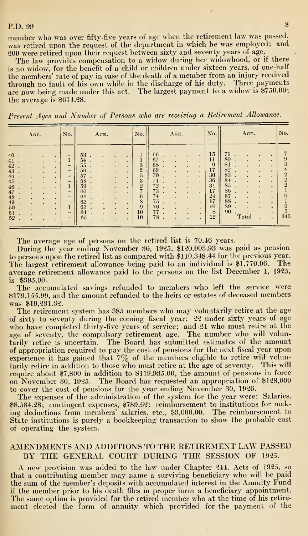#### P.D. 99 3

member who was over fifty-five years of age when the retirement law was passed, was retired upon the request of the department in which he was employed; and 200 were retired upon their request between sixty and seventy years of age.

The law provides compensation to a widow during her widowhood, or if there is no widow, for the benefit of a child or children under sixteen years, of one-half the members' rate of pay in case of the death of a member from an injury received through no fault of his own while in the discharge of his duty. Three payments are now being made under this act. The largest payment to a widow is \$750.00; the average is \$614.28.

Present Ages and Number of Persons who are receiving a Retirement Allowance.

| AGE.                                                                                                                          | No.                                                                | AGE.                                                                                                                          | No.                                                                              | AGE.                                                                                                                                                                             | No.                                                                          | AGE.                                                                               | No.                                                                                                 |
|-------------------------------------------------------------------------------------------------------------------------------|--------------------------------------------------------------------|-------------------------------------------------------------------------------------------------------------------------------|----------------------------------------------------------------------------------|----------------------------------------------------------------------------------------------------------------------------------------------------------------------------------|------------------------------------------------------------------------------|------------------------------------------------------------------------------------|-----------------------------------------------------------------------------------------------------|
| 40<br>41<br>42<br>43<br>44<br>45<br>٠<br>46<br>٠<br>47<br>$\bullet$<br>48<br>٠<br>49<br>$\blacksquare$<br>50<br>٠<br>51<br>52 | ÷<br>-<br>-<br>-<br>$\qquad \qquad$<br>-<br>$\mathbf{1}$<br>-<br>- | 53<br>54<br>55<br>56<br>57<br>58<br>×<br>59<br>۰<br>٠<br>60<br>٠<br>٠<br>61<br>٠<br>62<br>63<br>$\mathbf{v}$<br>64<br>٠<br>65 | 3<br>$\overline{2}$<br>5<br>3<br>$\overline{2}$<br>m.<br>6<br>8<br>9<br>10<br>10 | 66<br>67<br>68<br>69<br>70<br>$\bullet$<br>71<br>٠<br>72<br>٠<br>$\bullet$<br>73<br>$\overline{\phantom{a}}$<br>74<br>75<br>٠<br>76<br>٠<br>77<br>78<br>$\overline{\phantom{a}}$ | $15\,$<br>11<br>9<br>17<br>30<br>36<br>31<br>17<br>24<br>17<br>16<br>8<br>12 | 79<br>80<br>81<br>82<br>83<br>84<br>٠<br>85<br>86<br>87<br>88<br>89<br>90<br>Total | 9<br>3<br>$\overline{\mathbf{f}}$<br>$\overline{2}$<br>$\overline{2}$<br>$\overline{2}$<br>0<br>345 |

The average age of persons on the retired list is 70.46 years.

During the year ending November 30, 1925, \$120,003.93 was paid as pension to persons upon the retired list as compared with \$110,348.44 for the previous year. The largest retirement allowance being paid to an individual is \$1,770.96. The average retirement allowance paid to the persons on the list December 1, 1925, is  $$395.00.$ 

The accumulated savings refunded to members who left the service were \$179,155.99, and the amount refunded to the heirs or estates of deceased members was \$19,231.32.

The retirement system has 385 members who may voluntarily retire at the age of sixty to seventy during the coming fiscal year; 22 under sixty years of age who have completed thirty-five years of service; and 21 who must retire at the age of seventy, the compulsory retirement age. The number who will voluntarily retire is uncertain. The Board has submitted estimates of the amount of appropriation required to pay the cost of pensions for the next fiscal year upon<br>experience it has gained that  $7\%$  of the members eligible to retire will volumtarily retire in addition to those who must retire at the age of seventy. This will require about \$7,800 in addition to \$119,935.00, the amount of pensions in force on November 30, 1925. The Board has requested an appropriation of \$128,000 to cover the cost of pensions for the year ending November 30, 1926.

The expenses of the administration of the system for the year were: Salaries, \$8,584.28; contingent expenses, \$789.62; reimbursement to institutions for making deductions from members' salaries, etc., \$3,000.00. The reimbursement to State institutions is purely a bookkeeping transaction to show the probable cost of operating the system.

#### AMENDMENTS AND ADDITIONS TO THE RETIREMENT LAW PASSED BY THE GENERAL COURT DURING THE SESSION OF 1925.

A new provision was added to the law under Chapter 244, Acts of 1925, so that a contributing member may name a surviving beneficiary who will be paid the sum of the member's deposits with accumulated interest in the Annuity Fund if the member prior to his death files in proper form a beneficiary appointment. The same option is provided for the retired member who at the time of his retirement elected the form of annuity which provided for the payment of the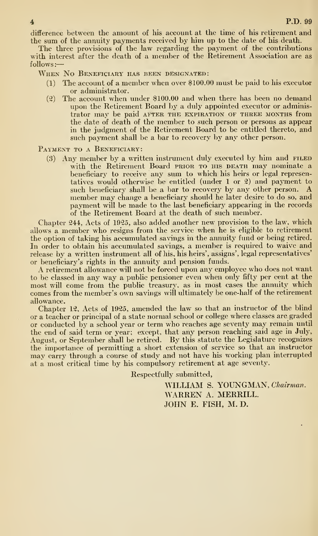difference between the amount of his account at the time of his retirement and the sum of the annuity payments received by him up to the date of his death.

The three provisions of the law regarding the payment of the contributions with interest after the death of a member of the Retirement Association are as follows :

When No Beneficiary has been designated:

- (1) The account of a member when over \$100.00 must be paid to his executor or administrator.
- (2) The account when under \$100.00 and when there has been no demand upon the Retirement Board by a duly appointed executor or administrator may be paid after the expiration of three months from the date of death of the member to such person or persons as appear in the judgment of the Retirement Board to be entitled thereto, and such payment shall be a bar to recovery by any other person.

PAYMENT TO A BENEFICIARY:

(3) Any member by a written instrument duly executed by him and **FILED** with the Retirement Board prior to his death may nominate a beneficiary to receive any sum to which his heirs or legal representatives would otherwise be entitled (under 1 or 2) and payment to such beneficiary shall be a bar to recovery by any other person. A member may change a beneficiary should he later desire to do so, and payment will be made to the last beneficiary appearing in the records of the Retirement Board at the death of such member.

Chapter 244, Acts of 1925, also added another new provision to the law, which allows a member who resigns from the service when he is eligible to retirement the option of taking his accumulated savings in the annuity fund or being retired. In order to obtain his accumulated savings, a member is required to waive and release by a written instrument all of his, his heirs', assigns', legal representatives'

A retirement allowance will not be forced upon any employee who does not want to be classed in any way a public pensioner even when only fifty per cent at the most will come from the public treasury, as in most cases the annuity which comes from the member's own savings will ultimately be one-half of the retirement allowance.

Chapter 12, Acts of 1925, amended the law so that an instructor of the blind or a teacher or principal of a state normal school or college where classes are graded or conducted by a school year or term who reaches age seventy may remain until the end of said term or year; except, that any person reaching said age in July, August, or September shall be retired. By this statute the Legislature recognizes the importance of permitting a short extension of service so that an instructor may carry through a course of study and not have his working plan interrupted at a most critical time by his compulsory retirement at age seventy.

Respectfully submitted,

WILLIAM S. YOUNGMAN, Chairman. WARREN A. MERRILL. JOHN E. FISH, M. D.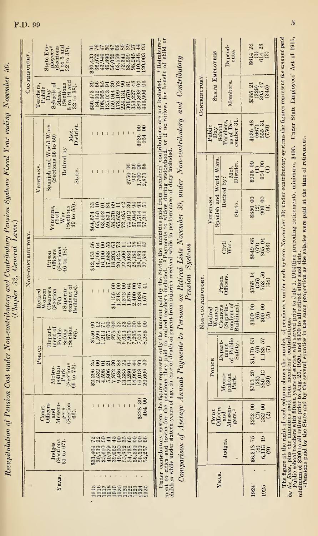| 30.                   |                                                                                                                                                                                                                                 |
|-----------------------|---------------------------------------------------------------------------------------------------------------------------------------------------------------------------------------------------------------------------------|
|                       |                                                                                                                                                                                                                                 |
|                       |                                                                                                                                                                                                                                 |
|                       |                                                                                                                                                                                                                                 |
|                       |                                                                                                                                                                                                                                 |
|                       |                                                                                                                                                                                                                                 |
|                       |                                                                                                                                                                                                                                 |
|                       |                                                                                                                                                                                                                                 |
|                       |                                                                                                                                                                                                                                 |
| l                     |                                                                                                                                                                                                                                 |
|                       |                                                                                                                                                                                                                                 |
|                       |                                                                                                                                                                                                                                 |
|                       |                                                                                                                                                                                                                                 |
|                       |                                                                                                                                                                                                                                 |
|                       |                                                                                                                                                                                                                                 |
| þ                     |                                                                                                                                                                                                                                 |
|                       |                                                                                                                                                                                                                                 |
|                       |                                                                                                                                                                                                                                 |
|                       | וויסט היה המונח המונח המונח המונח המונח המונח המונח המונח המונח המונח המונח המונח המונח המונח המונח המונח המונ<br>המונח המונח המונח המונח המונח המונח המונח המונח המונח המונח המונח המונח המונח המונח המונח המונח המונח המונח ה |
|                       |                                                                                                                                                                                                                                 |
|                       |                                                                                                                                                                                                                                 |
|                       |                                                                                                                                                                                                                                 |
|                       |                                                                                                                                                                                                                                 |
|                       |                                                                                                                                                                                                                                 |
|                       |                                                                                                                                                                                                                                 |
| in it and common      | $\ddotsc$                                                                                                                                                                                                                       |
|                       |                                                                                                                                                                                                                                 |
|                       |                                                                                                                                                                                                                                 |
|                       |                                                                                                                                                                                                                                 |
|                       |                                                                                                                                                                                                                                 |
|                       |                                                                                                                                                                                                                                 |
|                       |                                                                                                                                                                                                                                 |
| ļ                     |                                                                                                                                                                                                                                 |
|                       |                                                                                                                                                                                                                                 |
|                       |                                                                                                                                                                                                                                 |
|                       |                                                                                                                                                                                                                                 |
|                       |                                                                                                                                                                                                                                 |
|                       |                                                                                                                                                                                                                                 |
|                       |                                                                                                                                                                                                                                 |
|                       |                                                                                                                                                                                                                                 |
|                       |                                                                                                                                                                                                                                 |
|                       |                                                                                                                                                                                                                                 |
|                       |                                                                                                                                                                                                                                 |
|                       |                                                                                                                                                                                                                                 |
|                       |                                                                                                                                                                                                                                 |
|                       |                                                                                                                                                                                                                                 |
|                       |                                                                                                                                                                                                                                 |
| $P_{\rho\rho\alpha'}$ |                                                                                                                                                                                                                                 |
|                       |                                                                                                                                                                                                                                 |

| CONTRIBUTORY      |                                         | $\frac{\text{State Hm}}{\text{plots}^2}$<br>ployees <sup>2</sup><br>(Sections<br>1 to 5 and<br>12 to 38). |                                                                                                                                           |  | <b>SP454888548</b><br>3211233548348<br>92350548848<br>83998820885 |  |                    |  |  |                    |                                                                                   |  |
|-------------------|-----------------------------------------|-----------------------------------------------------------------------------------------------------------|-------------------------------------------------------------------------------------------------------------------------------------------|--|-------------------------------------------------------------------|--|--------------------|--|--|--------------------|-----------------------------------------------------------------------------------|--|
|                   |                                         |                                                                                                           | Teachers,<br>Public<br>Play<br>Schools of<br>Soctions<br>(Sections).<br>32 to 38).                                                        |  |                                                                   |  | <b>SSERFORTHES</b> |  |  |                    |                                                                                   |  |
|                   |                                         |                                                                                                           | Met.<br>District                                                                                                                          |  |                                                                   |  |                    |  |  | \$936 00<br>954 00 |                                                                                   |  |
|                   | VETERANS                                | Spanish and World Wars<br>(Sections 56 to 60)                                                             | Retired by<br>State.                                                                                                                      |  |                                                                   |  |                    |  |  | ೦೫೦ೞ               | 8750<br>1357<br>2.871<br>2.871                                                    |  |
|                   |                                         |                                                                                                           | Veterans, $\frac{C_3'v_{11}^{11}}{W_{\text{ar}}}$<br>(Sections 49 to 55).                                                                 |  |                                                                   |  |                    |  |  |                    | <b>SHERSHASSES</b><br><b>198212886231</b><br>198558840315<br>198668621            |  |
| NON-CONTRIBUTORY. | Prison<br>Officers<br>(Sections<br>48). |                                                                                                           |                                                                                                                                           |  |                                                                   |  |                    |  |  |                    | sa Sa sa Hugab<br>1960<br>1960 31960 329<br>1960 31960 3296<br>1960 32960 3296    |  |
|                   |                                         |                                                                                                           |                                                                                                                                           |  |                                                                   |  |                    |  |  |                    | 888#8##                                                                           |  |
|                   | Police                                  |                                                                                                           | $\begin{array}{l} \text{Depart} \\\text{d} \\\text{pubic} \\\text{Safety} \\\text{Section} \\\text{Section} \\\text{Section} \end{array}$ |  |                                                                   |  |                    |  |  |                    | 82588888888<br>ចិន្ត្រីដូច្នូន ស្ថិត្តិដូច្នូ ។<br>មិនដូច្នេស ស្ថិត្តិដូច្នូ អ្នក |  |
|                   |                                         |                                                                                                           | $\begin{array}{c} \text{Metro-} \\ \text{poltian} \\ \text{Perk} \\ \text{(Sections)} \\ \text{9 to 73)} \end{array}$                     |  |                                                                   |  |                    |  |  |                    | 88558853#88                                                                       |  |
|                   |                                         |                                                                                                           | $\frac{\text{Count}}{\text{Messes}}$                                                                                                      |  |                                                                   |  |                    |  |  |                    | ಼಼<br>3228<br>464                                                                 |  |
|                   |                                         | $\begin{array}{c} \text{Judges} \\ \text{(Sections)} \\ \text{31 to 67)}. \end{array}$                    |                                                                                                                                           |  |                                                                   |  |                    |  |  |                    | 238448#8888<br>1980<br>1890 - 1890<br>1890 - 1890 - 1890<br>1890 - 1890 - 1890    |  |
|                   |                                         | <b>YEAR</b>                                                                                               |                                                                                                                                           |  |                                                                   |  |                    |  |  |                    | 1111323333333<br>000000000000                                                     |  |

Under contributory system the figures represent only the amount paid by the State; the annuities paid from members' contributions are not included.  $\,$  1 Reimburse-<br>ment to cities and towns for the pensions they paid to

 $Comperison$  of  $Average$  Annual Payments to Persons on Retired Lists November 30, under Non-contributory and Contributory

**Pension** Systems

|                  |                                    | $endents.$                                                                         | $614$ 28<br>$614$ 28<br>$614$ 39                                                                                                |
|------------------|------------------------------------|------------------------------------------------------------------------------------|---------------------------------------------------------------------------------------------------------------------------------|
| Сомтнивотся      | STATE EMPLOYEES                    | Members.                                                                           | $\begin{array}{c} 21 \\ 329 \\ 395 \\ 47 \\ 395 \\ 47 \\ 345 \end{array}$                                                       |
|                  |                                    | Public<br>Day<br>School<br>Teachers,<br>Teacher 31<br>as of De-<br>conber 31       | $^{6536}_{(667)}$<br>$^{(667)}_{555}$ 31<br>(750)                                                                               |
|                  |                                    | Met.<br>District.                                                                  | $\begin{smallmatrix} & 00 & 0 \\ 0.36 & 0 \\ 0.34 & 0 \\ 0.34 & 0 \end{smallmatrix}$                                            |
|                  | Spanish and World Wars<br>VETERANS | Retired by:<br>State.                                                              | $\begin{array}{c} 00 \\ 0 \\ 0 \\ 0 \\ 0 \\ \hline \end{array}$                                                                 |
|                  |                                    | Civil<br>War.                                                                      | $\begin{array}{c} 8849 & 68 \\ (69) \\ 865 & 04 \\ (63) \end{array}$                                                            |
|                  |                                    | Prison<br>)fficers                                                                 | $\begin{array}{c} $768 \ 14 \ \hline (36) \ 753 \ 50 \ \hline \end{array}$                                                      |
| NON-CONTRIBUTORY |                                    | Retired<br>Women<br>Cleaners<br>Cleaners<br>(Superin-<br>tendent of<br>suildings). | $\begin{pmatrix} 60 & 00 \\ 60 & 00 \\ 300 & 00 \end{pmatrix}$                                                                  |
|                  | POLICE                             | Depart-<br>neut<br><i>A</i> Public<br>Safety.                                      | $\begin{array}{c} \textbf{81,170} \text{ } \textbf{83} \\ \textbf{1,183} \text{ } 57 \\ \textbf{1,183} \text{ } 57 \end{array}$ |
|                  |                                    | Metro-<br>politan<br>Park.                                                         | $\frac{$793}{$30}$<br>$\frac{23}{36}$<br>$12$                                                                                   |
|                  |                                    | $\frac{\text{Contr}}{\text{Messen}}$<br>Messen-<br>gers.                           |                                                                                                                                 |
|                  |                                    | Judges.                                                                            | $\begin{array}{c} 46,318 \\ (8) \\ 6,113 \\ (9) \end{array} \begin{array}{c} 75 \\ 19 \\ 19 \end{array}$                        |
|                  |                                    | <b><i>YEAR.</i></b>                                                                | .924<br>1925                                                                                                                    |

The figure at the right of each column shows the number of pensioners under each system November 30; under contributory systems the figures represent the amount paid by the State, plus the annuities paid from members' contributions.

<sup>og</sup> Foblic splott teachers with fifteen years of service who served pior to July 1, 1914(five preceding retirement), minimun, \$400. Under State Employees' Act of 1911,<br>minimum of \$200 to all retired prior to Aug. 26, 1920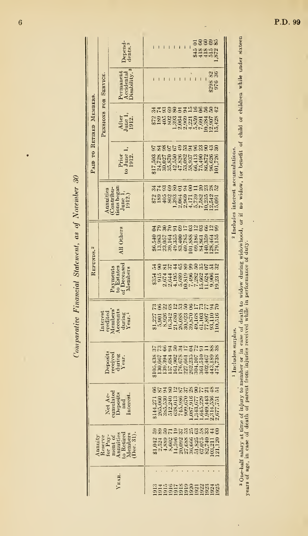Comparative Financial Statement, as of November 30

|                          |                      | Depend-<br>dents. <sup>3</sup>                                                                                                                                                                                                                                                                              |         |                |      |        |  |                                                                         |  | 343<br>323<br>34452<br>3523 |                    |                                                                                                                                                                                                                                                                               |                                               |
|--------------------------|----------------------|-------------------------------------------------------------------------------------------------------------------------------------------------------------------------------------------------------------------------------------------------------------------------------------------------------------|---------|----------------|------|--------|--|-------------------------------------------------------------------------|--|-----------------------------|--------------------|-------------------------------------------------------------------------------------------------------------------------------------------------------------------------------------------------------------------------------------------------------------------------------|-----------------------------------------------|
|                          |                      | Permanent<br>Accidental<br>Disability. <sup>3</sup>                                                                                                                                                                                                                                                         |         |                |      |        |  |                                                                         |  |                             | \$298 82<br>976 36 |                                                                                                                                                                                                                                                                               |                                               |
| PAID TO RETIRED MEMBERS. | PENSIONS FOR SERVICE | After<br>June 1,<br>1912.                                                                                                                                                                                                                                                                                   |         |                |      |        |  | *************                                                           |  |                             |                    |                                                                                                                                                                                                                                                                               |                                               |
|                          |                      | $\begin{array}{c} \text{Prior} \\ \text{to June} \\ \text{1912}.\end{array}$                                                                                                                                                                                                                                |         |                |      |        |  | 53855923888998<br>sanga 1935 4983<br>1935 4883 4488<br>1938 445 388 488 |  |                             |                    |                                                                                                                                                                                                                                                                               |                                               |
|                          |                      | $\begin{array}{c} \text{Amuities} \\ \text{(Contribution-} \\ \text{ions began} \\ \text{June 1,} \\ \text{June 1,} \\ \text{1912.} \end{array}$                                                                                                                                                            |         |                |      |        |  | *************                                                           |  |                             |                    |                                                                                                                                                                                                                                                                               | <sup>2</sup> Includes interest accumulations. |
|                          |                      | All Others                                                                                                                                                                                                                                                                                                  |         |                |      |        |  | <b>SPRRESHSHSSHS</b>                                                    |  |                             |                    | 69,186<br>84,859<br>140,354<br>128,155<br>179,155                                                                                                                                                                                                                             |                                               |
| REFUNDS. <sup>2</sup>    |                      | of Decease<br>Payments<br>to Estates<br>Members                                                                                                                                                                                                                                                             |         |                |      |        |  | 13525423363553                                                          |  |                             |                    |                                                                                                                                                                                                                                                                               |                                               |
|                          |                      | $\begin{array}{c} {\bf Interest} \\ {\bf credited} \\ {\bf Members} \\ {\bf Moconns} \\ {\bf Aeconns} \\ {\bf during} \\ {\bf during} \\ {\bf during} \\ {\bf Newr.} \\ {\bf Year.} \\ \end{array}$                                                                                                         | \$1,227 | 5,901<br>8,926 |      | 16,342 |  | <b>NSNSNESSLELER</b>                                                    |  |                             |                    | <b>333323351956</b><br>53335455555                                                                                                                                                                                                                                            |                                               |
|                          |                      | $\begin{array}{c}\text{Depo sites} \ \text{recived} \ \text{turng} \ \text{Vear.} \end{array}$                                                                                                                                                                                                              |         |                |      |        |  | RSESELTREISS                                                            |  |                             |                    |                                                                                                                                                                                                                                                                               | 1 Includes surplus.                           |
|                          |                      | Net Ac-<br>cumulated<br>Deposits<br>md<br>Interest.                                                                                                                                                                                                                                                         |         |                | 8538 |        |  | 2553                                                                    |  |                             |                    | 92345<br>$\begin{array}{l} 1.371\\ 1.4120\\ 2.3331\\ 3.3511\\ 3.3631\\ 4.371\\ 3.381\\ 4.391\\ 5.391\\ 6.391\\ 7.392\\ 8.391\\ 7.392\\ 8.391\\ 7.393\\ 8.391\\ 7.391\\ 7.391\\ 7.391\\ 7.391\\ 7.391\\ 7.391\\ 7.391\\ 7.391\\ 7.391\\ 7.391\\ 7.391\\ 7.391\\ 7.391\\ 7.391$ |                                               |
|                          |                      | $\begin{array}{l} \text{Annuity} \\ \text{Reserve} \\ \text{for } \text{Pay-} \\ \text{for } \text{out of} \\ \text{in } \text{of} \\ \text{in } \text{of} \\ \text{in } \text{of} \\ \text{Amnuities} \\ \text{of} \\ \text{Aembers} \\ \text{Members} \\ \text{Members} \\ \text{Dec. } 31). \end{array}$ |         |                |      |        |  | asanahanggan#8                                                          |  |                             |                    | 93393333935357512<br>6339659395557512<br>504015853558395                                                                                                                                                                                                                      |                                               |
|                          |                      | YEAR.                                                                                                                                                                                                                                                                                                       |         |                |      |        |  |                                                                         |  |                             |                    | 01996289858833<br>0000000000000                                                                                                                                                                                                                                               |                                               |

3 One-half salary at time of injury to member or in which widow during widowho during and the measurement of child or children while under sixteen<br>years of age, in case of death of parent from injuries received while in pe

P.D. 99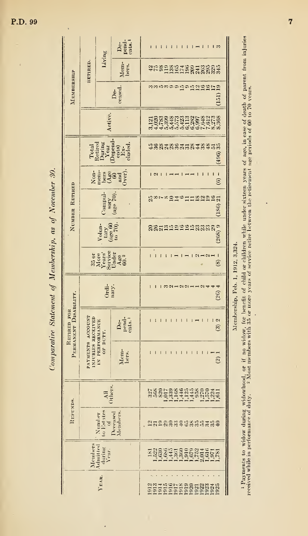| . 30.                          |
|--------------------------------|
|                                |
| $\frac{1}{2}$ as $\frac{1}{2}$ |
|                                |
| of Member                      |
|                                |
|                                |
| <b>tatement</b>                |
| 2.7123<br>ׇ֧֦֧֦֧֦֧֛֜           |
|                                |

|                                      |                                       |                                                                                                                                                     | De-<br>pend-<br>cnts. <sup>1</sup>                                                                                                                                                                 |                                                                 |
|--------------------------------------|---------------------------------------|-----------------------------------------------------------------------------------------------------------------------------------------------------|----------------------------------------------------------------------------------------------------------------------------------------------------------------------------------------------------|-----------------------------------------------------------------|
|                                      | RETIRED.                              | Living                                                                                                                                              | Mem-<br>bers.                                                                                                                                                                                      | anggang taganggan<br>Anggangkanggan                             |
| MEMBERSHIP                           |                                       |                                                                                                                                                     | De-<br>ceased.                                                                                                                                                                                     | aananaar<br>(151)                                               |
|                                      |                                       | Active.                                                                                                                                             |                                                                                                                                                                                                    | 1003093233252532530<br>1003094524139545236<br>54456666666616568 |
|                                      |                                       |                                                                                                                                                     | $\begin{array}{l} \text{Total} \\ \text{Retried} \\ \text{Duning} \\ \text{Vear} \\ \text{Depend} \\ \text{in} \\ \text{in} \\ \text{in} \\ \text{in} \\ \text{duded} \\ \text{duded} \end{array}$ | tigataget ag taga da<br>(496)                                   |
|                                      |                                       |                                                                                                                                                     | Non-<br>mem-<br>derge and<br>derge and                                                                                                                                                             | $\mathbf{I}$<br>$\sim$<br>$\widehat{c}$                         |
| NUMBER RETIRED                       |                                       | 'ompul                                                                                                                                              | $\frac{1}{6}$<br>$\frac{950}{4}$                                                                                                                                                                   | 12299<br>న్∞⊾<br>021<br>$\overline{a}$<br>(186)                 |
|                                      |                                       | $\begin{array}{c}\n\text{Volume} \\ \text{tary} \\ \text{(age 60)} \\ \text{to 70)}.\n\end{array}$                                                  |                                                                                                                                                                                                    | (208)9<br>SSamnangnassa                                         |
|                                      |                                       |                                                                                                                                                     | $\begin{array}{c} 35 \text{ or } \\ \text{Morse} \\ \text{Nears'} \\ \text{Sartice} \\ \text{Age} \\ \text{Age} \\ \text{Age} \\ \end{array}$                                                      | $\mathbf{I}$<br>ඔ                                               |
|                                      |                                       | Ordi-<br>nary.                                                                                                                                      |                                                                                                                                                                                                    | ₩<br>(26)                                                       |
| PERMANENT DISABILITY.<br>RETIRED FOR |                                       |                                                                                                                                                     | De-<br>pend-<br>ents. <sup>1</sup>                                                                                                                                                                 | 2<br>$\widehat{c}$                                              |
|                                      | PAYMENTS ACCOUNT<br>INJURIES RECEIVED | IN PERFORMANCE<br><b>OF DUTY</b>                                                                                                                    | Mem-<br>bers.                                                                                                                                                                                      | $\widehat{2}$                                                   |
|                                      |                                       | )thers<br>A <sub>1</sub>                                                                                                                            |                                                                                                                                                                                                    | 2222233434622241                                                |
| REFUNDS.                             |                                       | $[Mathematical] \label{subsub} Theorem \begin{bmatrix} \mathbf{M} & \mathbf{M} \\ \mathbf{M} & \mathbf{M} \\ \mathbf{M} & \mathbf{M} \end{bmatrix}$ | Deceased<br>Members.                                                                                                                                                                               | 13158883468553450                                               |
|                                      |                                       | $\begin{array}{c} \text{Members}\\ \text{Adinited}\\ \text{during}\\ \text{Year} \end{array}$                                                       |                                                                                                                                                                                                    |                                                                 |
|                                      |                                       | YEAR.                                                                                                                                               |                                                                                                                                                                                                    | 2011221232853838                                                |

l,

Membership, Feb. 1, 1912, 3,324.

<sup>1</sup> Payments to widow during widowhood, or if no widow, for benefit of child or children while under sixteen years of age, in case of death of parent from injuries received while in porformance of duty.  $\sim$  2 Most member

l,

l,

 $\ddot{\phantom{0}}$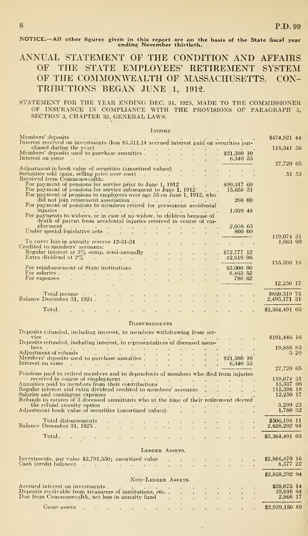NOTICE.—All other figures given in this report are on the basis of the State fiscal year ending November thirtieth.

### ANNUAL STATEMENT OF THE CONDITION AND AFFAIRS OF THE STATE EMPLOYEES' RETIREMENT SYSTEM OF THE COMMONWEALTH OF MASSACHUSETTS. CON-TRIBUTIONS BEGAN JUNE 1, 1912.

## STATEMENT FOR THE YEAR ENDING DEC. 31, 1925, MADE TO THE COMMISSIONER OF INSURANCE IN COMPLIANCE WITH THE PROVISIONS OF PARAGRAPH 5, SECTION 3, CHAPTER 32, GENERAL LAWS.

|                                                                                                                                                                                                                                                                                                                                                                                                                 | <b>INCOME</b>        |  |                                    |                                                                          |       |
|-----------------------------------------------------------------------------------------------------------------------------------------------------------------------------------------------------------------------------------------------------------------------------------------------------------------------------------------------------------------------------------------------------------------|----------------------|--|------------------------------------|--------------------------------------------------------------------------|-------|
| Members' deposits                                                                                                                                                                                                                                                                                                                                                                                               |                      |  |                                    | \$474,821 44                                                             |       |
| Interest received on investments (less \$5,311.14 accrued interest paid on securities pur-                                                                                                                                                                                                                                                                                                                      |                      |  |                                    | 118,341 56                                                               |       |
|                                                                                                                                                                                                                                                                                                                                                                                                                 |                      |  |                                    |                                                                          |       |
| Members' deposits used to purchase annuities .<br>Therest on same the set of the set of $\frac{1}{6,340}$ and $\frac{1}{6,340}$ 55                                                                                                                                                                                                                                                                              |                      |  |                                    | 27,720 65                                                                |       |
| Adjustment in book value of securities (amortized values)<br>Securities sold (gain, selling price over cost)                                                                                                                                                                                                                                                                                                    |                      |  |                                    |                                                                          |       |
| Received from Commonwealth:                                                                                                                                                                                                                                                                                                                                                                                     |                      |  |                                    |                                                                          | 51 53 |
| For payment of pensions for service prior to June 1, 1912 \$99,317 69<br>For payment of pensions for service subsequent to June 1, 1912 15,658 51                                                                                                                                                                                                                                                               |                      |  |                                    |                                                                          |       |
| For payment of pensions to employees over age 55 on June 1, 1912, who                                                                                                                                                                                                                                                                                                                                           |                      |  |                                    |                                                                          |       |
| did not join retirement association.                                                                                                                                                                                                                                                                                                                                                                            |                      |  | 200 00                             |                                                                          |       |
| For payment of pensions to members retired for permanent accidental                                                                                                                                                                                                                                                                                                                                             |                      |  |                                    |                                                                          |       |
| injuries<br>For payments to widows, or in case of no widow, to children because of                                                                                                                                                                                                                                                                                                                              |                      |  | 1,039 48                           |                                                                          |       |
| death of parent from accidental injuries received in course of em-                                                                                                                                                                                                                                                                                                                                              |                      |  |                                    |                                                                          |       |
| $\mathop{\mathrm{pl}}\nolimits$ ployment<br>Ployment<br>Under special legislative acts                                                                                                                                                                                                                                                                                                                          |                      |  | 2,058 63<br>. 80000                |                                                                          |       |
|                                                                                                                                                                                                                                                                                                                                                                                                                 |                      |  |                                    | 119,074 31                                                               |       |
| To cover loss in annuity reserve 12-31-24 .<br>Credited to members' accounts:                                                                                                                                                                                                                                                                                                                                   |                      |  |                                    | 1,663 90                                                                 |       |
| Regular interest at $3\%$ comp. semi-annually<br>Extra dividend at $2\%$                                                                                                                                                                                                                                                                                                                                        |                      |  | $872,777$ 12                       |                                                                          |       |
|                                                                                                                                                                                                                                                                                                                                                                                                                 |                      |  | $.42,619$ 06                       | 115,396 18                                                               |       |
|                                                                                                                                                                                                                                                                                                                                                                                                                 |                      |  | $.$ \$3,000 00                     |                                                                          |       |
| For reimbursement of State institutions<br>For salaries .<br>For expenses                                                                                                                                                                                                                                                                                                                                       |                      |  | $\frac{8,463}{786}, \frac{55}{62}$ |                                                                          |       |
|                                                                                                                                                                                                                                                                                                                                                                                                                 |                      |  |                                    | 12,250 17                                                                |       |
| Total income.                                                                                                                                                                                                                                                                                                                                                                                                   |                      |  |                                    | \$869,319 74                                                             |       |
| Balance December 31, 1924                                                                                                                                                                                                                                                                                                                                                                                       | <u>a ta tanah ta</u> |  |                                    | 2,495,171 31                                                             |       |
| Total.<br>provided to the control of the control of the                                                                                                                                                                                                                                                                                                                                                         |                      |  |                                    | \$3,364,491 05                                                           |       |
|                                                                                                                                                                                                                                                                                                                                                                                                                 |                      |  |                                    |                                                                          |       |
|                                                                                                                                                                                                                                                                                                                                                                                                                 | <b>DISBURSEMENTS</b> |  |                                    |                                                                          |       |
| Deposits refunded, including interest, to members withdrawing from ser-                                                                                                                                                                                                                                                                                                                                         |                      |  |                                    |                                                                          |       |
| vice<br>Deposits refunded, including interest, to representatives of deceased mem-                                                                                                                                                                                                                                                                                                                              |                      |  |                                    | \$191,446 16                                                             |       |
| bers.                                                                                                                                                                                                                                                                                                                                                                                                           |                      |  |                                    | 19,888 83                                                                |       |
| bers<br>Adjustment of refunds<br>$\begin{array}{ccc} 1 & 1 & 1 & 1 & 1 \\ 1 & 1 & 1 & 1 & 1 \\ 1 & 1 & 1 & 1 & 1 \end{array}$                                                                                                                                                                                                                                                                                   |                      |  |                                    |                                                                          | 5 20  |
| Adjustment of refunds<br>Members' deposits used to purchase annuities .<br>$\therefore$ $\therefore$ $\therefore$ $\therefore$ $\therefore$ $\therefore$ $\therefore$ $\therefore$ $\therefore$ $\therefore$ $\therefore$ $\therefore$ $\therefore$ $\therefore$ $\therefore$ $\therefore$ $\therefore$ $\therefore$ $\therefore$ $\therefore$ $\therefore$ $\therefore$ $\therefore$ $\therefore$ $\therefore$ |                      |  |                                    |                                                                          |       |
| Pensions paid to retired members and to dependents of members who died from injuries                                                                                                                                                                                                                                                                                                                            |                      |  |                                    | 27,720 65                                                                |       |
| received in course of employment                                                                                                                                                                                                                                                                                                                                                                                |                      |  |                                    | 119,074 31                                                               |       |
| received in course of employment<br>Annuities paid to members from their contributions                                                                                                                                                                                                                                                                                                                          |                      |  |                                    |                                                                          |       |
| Regular interest and extra dividend credited to members' accounts<br>Salaries and contingent expenses                                                                                                                                                                                                                                                                                                           |                      |  |                                    | $\begin{array}{r} 15,337 & 06 \\ 15,396 & 18 \\ 12,250 & 17 \end{array}$ |       |
| Refunds to estates of 3 deceased annuitants who at the time of their retirement elected<br>the refund annuity option                                                                                                                                                                                                                                                                                            |                      |  |                                    |                                                                          |       |
| Adjustment book value of securities (amortized values)                                                                                                                                                                                                                                                                                                                                                          |                      |  | the contract of the contract of    | 3,299 23<br>1,780 32                                                     |       |
|                                                                                                                                                                                                                                                                                                                                                                                                                 |                      |  |                                    |                                                                          |       |
| Total disbursements<br>Balance December 31, 1925.                                                                                                                                                                                                                                                                                                                                                               |                      |  |                                    | \$506,198 11<br>2,858,292 94                                             |       |
|                                                                                                                                                                                                                                                                                                                                                                                                                 |                      |  |                                    |                                                                          |       |
| Total.                                                                                                                                                                                                                                                                                                                                                                                                          |                      |  |                                    | \$3,364,491 05                                                           |       |
|                                                                                                                                                                                                                                                                                                                                                                                                                 | LEDGER ASSETS.       |  |                                    |                                                                          |       |
| Investments, par value $2,791,550$ ; amortized value                                                                                                                                                                                                                                                                                                                                                            |                      |  |                                    | \$2,866,870 16                                                           |       |
| Cash (credit balance) $\cdots$ $\cdots$ $\cdots$ $\cdots$ $\cdots$ $\cdots$                                                                                                                                                                                                                                                                                                                                     |                      |  |                                    | 8,577 22                                                                 |       |
|                                                                                                                                                                                                                                                                                                                                                                                                                 |                      |  |                                    |                                                                          |       |
|                                                                                                                                                                                                                                                                                                                                                                                                                 |                      |  |                                    |                                                                          |       |
|                                                                                                                                                                                                                                                                                                                                                                                                                 | NON-LEDGER ASSETS.   |  |                                    | \$2,858,292 94                                                           |       |
| Accrued interest on investments.                                                                                                                                                                                                                                                                                                                                                                                |                      |  |                                    | \$38,075 14                                                              |       |
| Deposits receivable from treasurers of institutions, etc                                                                                                                                                                                                                                                                                                                                                        |                      |  |                                    | 39,916 64                                                                |       |
| Due from Commonwealth, net loss in annuity fund.<br>Gross assets                                                                                                                                                                                                                                                                                                                                                |                      |  |                                    | 2,866 17<br>\$2,939,150 89                                               |       |

 $\ddot{\phantom{0}}$